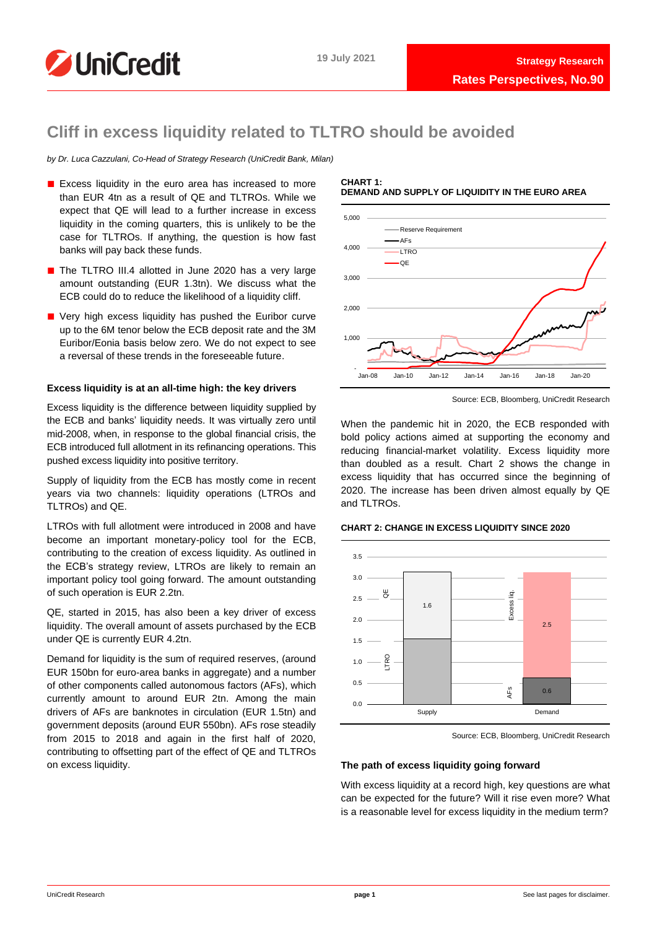

# **Cliff in excess liquidity related to TLTRO should be avoided**

*by Dr. Luca Cazzulani, Co-Head of Strategy Research (UniCredit Bank, Milan)*

- Excess liquidity in the euro area has increased to more than EUR 4tn as a result of QE and TLTROs. While we expect that QE will lead to a further increase in excess liquidity in the coming quarters, this is unlikely to be the case for TLTROs. If anything, the question is how fast banks will pay back these funds.
- The TLTRO III.4 allotted in June 2020 has a very large amount outstanding (EUR 1.3tn). We discuss what the ECB could do to reduce the likelihood of a liquidity cliff.
- Very high excess liquidity has pushed the Euribor curve up to the 6M tenor below the ECB deposit rate and the 3M Euribor/Eonia basis below zero. We do not expect to see a reversal of these trends in the foreseeable future.

# **Excess liquidity is at an all-time high: the key drivers**

Excess liquidity is the difference between liquidity supplied by the ECB and banks' liquidity needs. It was virtually zero until mid-2008, when, in response to the global financial crisis, the ECB introduced full allotment in its refinancing operations. This pushed excess liquidity into positive territory.

Supply of liquidity from the ECB has mostly come in recent years via two channels: liquidity operations (LTROs and TLTROs) and QE.

LTROs with full allotment were introduced in 2008 and have become an important monetary-policy tool for the ECB, contributing to the creation of excess liquidity. As outlined in the ECB's strategy review, LTROs are likely to remain an important policy tool going forward. The amount outstanding of such operation is EUR 2.2tn.

QE, started in 2015, has also been a key driver of excess liquidity. The overall amount of assets purchased by the ECB under QE is currently EUR 4.2tn.

Demand for liquidity is the sum of required reserves, (around EUR 150bn for euro-area banks in aggregate) and a number of other components called autonomous factors (AFs), which currently amount to around EUR 2tn. Among the main drivers of AFs are banknotes in circulation (EUR 1.5tn) and government deposits (around EUR 550bn). AFs rose steadily from 2015 to 2018 and again in the first half of 2020, contributing to offsetting part of the effect of QE and TLTROs on excess liquidity.

### **CHART 1: DEMAND AND SUPPLY OF LIQUIDITY IN THE EURO AREA**



Source: ECB, Bloomberg, UniCredit Research

When the pandemic hit in 2020, the ECB responded with bold policy actions aimed at supporting the economy and reducing financial-market volatility. Excess liquidity more than doubled as a result. Chart 2 shows the change in excess liquidity that has occurred since the beginning of 2020. The increase has been driven almost equally by QE and TLTROs

# **CHART 2: CHANGE IN EXCESS LIQUIDITY SINCE 2020**



Source: ECB, Bloomberg, UniCredit Research

# **The path of excess liquidity going forward**

With excess liquidity at a record high, key questions are what can be expected for the future? Will it rise even more? What is a reasonable level for excess liquidity in the medium term?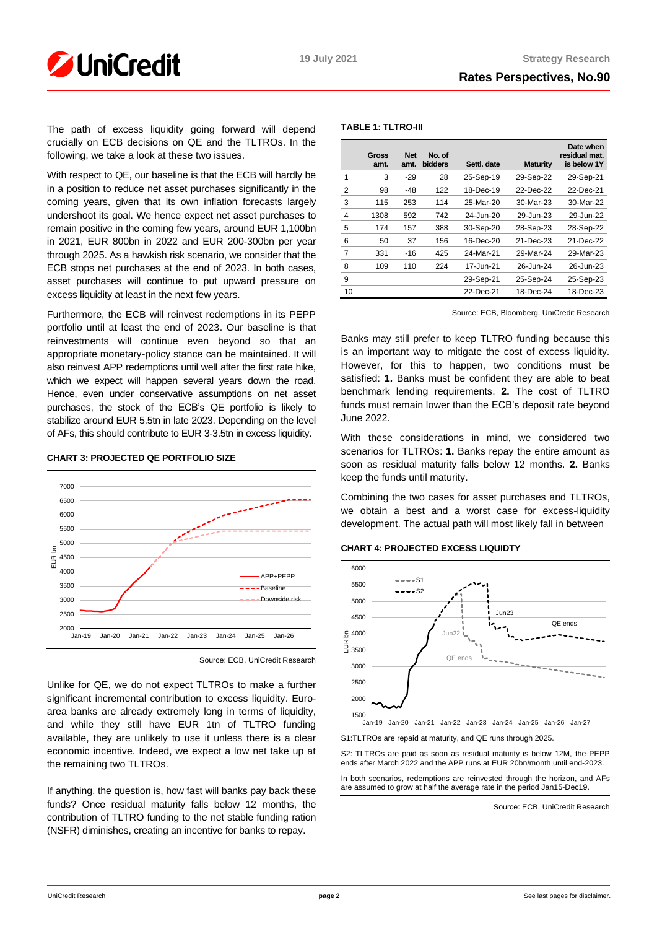

# **Rates Perspectives, No.90**

The path of excess liquidity going forward will depend crucially on ECB decisions on QE and the TLTROs. In the following, we take a look at these two issues.

With respect to QE, our baseline is that the ECB will hardly be in a position to reduce net asset purchases significantly in the coming years, given that its own inflation forecasts largely undershoot its goal. We hence expect net asset purchases to remain positive in the coming few years, around EUR 1,100bn in 2021, EUR 800bn in 2022 and EUR 200-300bn per year through 2025. As a hawkish risk scenario, we consider that the ECB stops net purchases at the end of 2023. In both cases, asset purchases will continue to put upward pressure on excess liquidity at least in the next few years.

Furthermore, the ECB will reinvest redemptions in its PEPP portfolio until at least the end of 2023. Our baseline is that reinvestments will continue even beyond so that an appropriate monetary-policy stance can be maintained. It will also reinvest APP redemptions until well after the first rate hike, which we expect will happen several years down the road. Hence, even under conservative assumptions on net asset purchases, the stock of the ECB's QE portfolio is likely to stabilize around EUR 5.5tn in late 2023. Depending on the level of AFs, this should contribute to EUR 3-3.5tn in excess liquidity.

# **CHART 3: PROJECTED QE PORTFOLIO SIZE**



Source: ECB, UniCredit Research

Unlike for QE, we do not expect TLTROs to make a further significant incremental contribution to excess liquidity. Euroarea banks are already extremely long in terms of liquidity, and while they still have EUR 1tn of TLTRO funding available, they are unlikely to use it unless there is a clear economic incentive. Indeed, we expect a low net take up at the remaining two TLTROs.

If anything, the question is, how fast will banks pay back these funds? Once residual maturity falls below 12 months, the contribution of TLTRO funding to the net stable funding ration (NSFR) diminishes, creating an incentive for banks to repay.

# **TABLE 1: TLTRO-III**

|                | Gross<br>amt. | <b>Net</b><br>amt. | No. of<br><b>bidders</b> | Settl. date | <b>Maturity</b> | Date when<br>residual mat.<br>is below 1Y |
|----------------|---------------|--------------------|--------------------------|-------------|-----------------|-------------------------------------------|
| 1              | 3             | $-29$              | 28                       | 25-Sep-19   | 29-Sep-22       | 29-Sep-21                                 |
| 2              | 98            | -48                | 122                      | 18-Dec-19   | 22-Dec-22       | 22-Dec-21                                 |
| 3              | 115           | 253                | 114                      | 25-Mar-20   | 30-Mar-23       | 30-Mar-22                                 |
| $\overline{4}$ | 1308          | 592                | 742                      | 24-Jun-20   | 29-Jun-23       | 29-Jun-22                                 |
| 5              | 174           | 157                | 388                      | 30-Sep-20   | 28-Sep-23       | 28-Sep-22                                 |
| 6              | 50            | 37                 | 156                      | 16-Dec-20   | 21-Dec-23       | 21-Dec-22                                 |
| 7              | 331           | $-16$              | 425                      | 24-Mar-21   | 29-Mar-24       | 29-Mar-23                                 |
| 8              | 109           | 110                | 224                      | 17-Jun-21   | 26-Jun-24       | 26-Jun-23                                 |
| 9              |               |                    |                          | 29-Sep-21   | 25-Sep-24       | 25-Sep-23                                 |
| 10             |               |                    |                          | 22-Dec-21   | 18-Dec-24       | 18-Dec-23                                 |

Source: ECB, Bloomberg, UniCredit Research

Banks may still prefer to keep TLTRO funding because this is an important way to mitigate the cost of excess liquidity. However, for this to happen, two conditions must be satisfied: **1.** Banks must be confident they are able to beat benchmark lending requirements. **2.** The cost of TLTRO funds must remain lower than the ECB's deposit rate beyond June 2022.

With these considerations in mind, we considered two scenarios for TLTROs: **1.** Banks repay the entire amount as soon as residual maturity falls below 12 months. **2.** Banks keep the funds until maturity.

Combining the two cases for asset purchases and TLTROs, we obtain a best and a worst case for excess-liquidity development. The actual path will most likely fall in between

### **CHART 4: PROJECTED EXCESS LIQUIDTY**



S1:TLTROs are repaid at maturity, and QE runs through 2025.

S2: TLTROs are paid as soon as residual maturity is below 12M, the PEPP ends after March 2022 and the APP runs at EUR 20bn/month until end-2023. In both scenarios, redemptions are reinvested through the horizon, and AFs are assumed to grow at half the average rate in the period Jan15-Dec19.

Source: ECB, UniCredit Research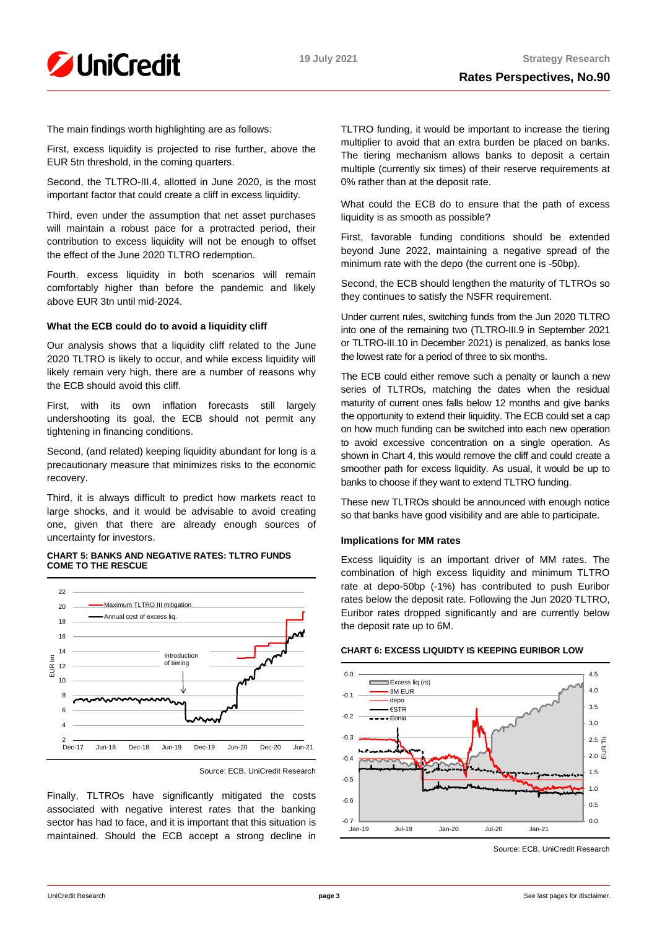

The main findings worth highlighting are as follows:

First, excess liquidity is projected to rise further, above the EUR 5tn threshold, in the coming quarters.

Second, the TLTRO-III.4, allotted in June 2020, is the most important factor that could create a cliff in excess liquidity.

Third, even under the assumption that net asset purchases will maintain a robust pace for a protracted period, their contribution to excess liquidity will not be enough to offset the effect of the June 2020 TLTRO redemption.

Fourth, excess liquidity in both scenarios will remain comfortably higher than before the pandemic and likely above EUR 3tn until mid-2024.

# **What the ECB could do to avoid a liquidity cliff**

Our analysis shows that a liquidity cliff related to the June 2020 TLTRO is likely to occur, and while excess liquidity will likely remain very high, there are a number of reasons why the ECB should avoid this cliff.

First, with its own inflation forecasts still largely undershooting its goal, the ECB should not permit any tightening in financing conditions.

Second, (and related) keeping liquidity abundant for long is a precautionary measure that minimizes risks to the economic recovery.

Third, it is always difficult to predict how markets react to large shocks, and it would be advisable to avoid creating one, given that there are already enough sources of uncertainty for investors.

## **CHART 5: BANKS AND NEGATIVE RATES: TLTRO FUNDS COME TO THE RESCUE**



Source: ECB, UniCredit Research

Finally, TLTROs have significantly mitigated the costs associated with negative interest rates that the banking sector has had to face, and it is important that this situation is maintained. Should the ECB accept a strong decline in

TLTRO funding, it would be important to increase the tiering multiplier to avoid that an extra burden be placed on banks. The tiering mechanism allows banks to deposit a certain multiple (currently six times) of their reserve requirements at 0% rather than at the deposit rate.

What could the ECB do to ensure that the path of excess liquidity is as smooth as possible?

First, favorable funding conditions should be extended beyond June 2022, maintaining a negative spread of the minimum rate with the depo (the current one is -50bp).

Second, the ECB should lengthen the maturity of TLTROs so they continues to satisfy the NSFR requirement.

Under current rules, switching funds from the Jun 2020 TLTRO into one of the remaining two (TLTRO-III.9 in September 2021 or TLTRO-III.10 in December 2021) is penalized, as banks lose the lowest rate for a period of three to six months.

The ECB could either remove such a penalty or launch a new series of TLTROs, matching the dates when the residual maturity of current ones falls below 12 months and give banks the opportunity to extend their liquidity. The ECB could set a cap on how much funding can be switched into each new operation to avoid excessive concentration on a single operation. As shown in Chart 4, this would remove the cliff and could create a smoother path for excess liquidity. As usual, it would be up to banks to choose if they want to extend TLTRO funding.

These new TLTROs should be announced with enough notice so that banks have good visibility and are able to participate.

# **Implications for MM rates**

Excess liquidity is an important driver of MM rates. The combination of high excess liquidity and minimum TLTRO rate at depo-50bp (-1%) has contributed to push Euribor rates below the deposit rate. Following the Jun 2020 TLTRO, Euribor rates dropped significantly and are currently below the deposit rate up to 6M.



### **CHART 6: EXCESS LIQUIDTY IS KEEPING EURIBOR LOW**

Source: ECB, UniCredit Research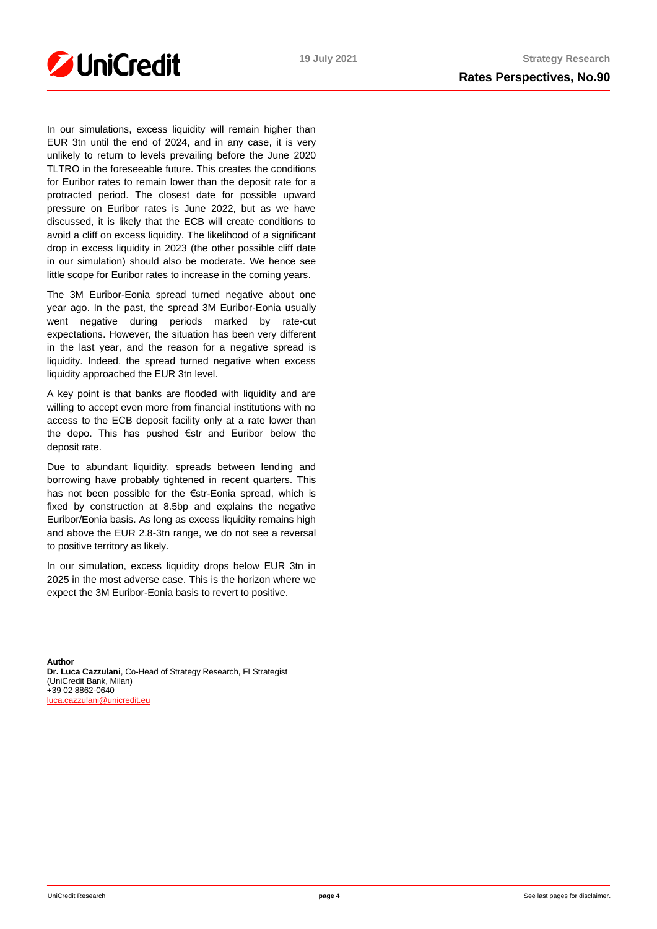

In our simulations, excess liquidity will remain higher than EUR 3tn until the end of 2024, and in any case, it is very unlikely to return to levels prevailing before the June 2020 TLTRO in the foreseeable future. This creates the conditions for Euribor rates to remain lower than the deposit rate for a protracted period. The closest date for possible upward pressure on Euribor rates is June 2022, but as we have discussed, it is likely that the ECB will create conditions to avoid a cliff on excess liquidity. The likelihood of a significant drop in excess liquidity in 2023 (the other possible cliff date in our simulation) should also be moderate. We hence see little scope for Euribor rates to increase in the coming years.

The 3M Euribor-Eonia spread turned negative about one year ago. In the past, the spread 3M Euribor-Eonia usually went negative during periods marked by rate-cut expectations. However, the situation has been very different in the last year, and the reason for a negative spread is liquidity. Indeed, the spread turned negative when excess liquidity approached the EUR 3tn level.

A key point is that banks are flooded with liquidity and are willing to accept even more from financial institutions with no access to the ECB deposit facility only at a rate lower than the depo. This has pushed €str and Euribor below the deposit rate.

Due to abundant liquidity, spreads between lending and borrowing have probably tightened in recent quarters. This has not been possible for the €str-Eonia spread, which is fixed by construction at 8.5bp and explains the negative Euribor/Eonia basis. As long as excess liquidity remains high and above the EUR 2.8-3tn range, we do not see a reversal to positive territory as likely.

In our simulation, excess liquidity drops below EUR 3tn in 2025 in the most adverse case. This is the horizon where we expect the 3M Euribor-Eonia basis to revert to positive.

**Author Dr. Luca Cazzulani**, Co-Head of Strategy Research, FI Strategist (UniCredit Bank, Milan) +39 02 8862-0640 [luca.cazzulani@unicredit.eu](mailto:luca.cazzulani@unicredit.eu)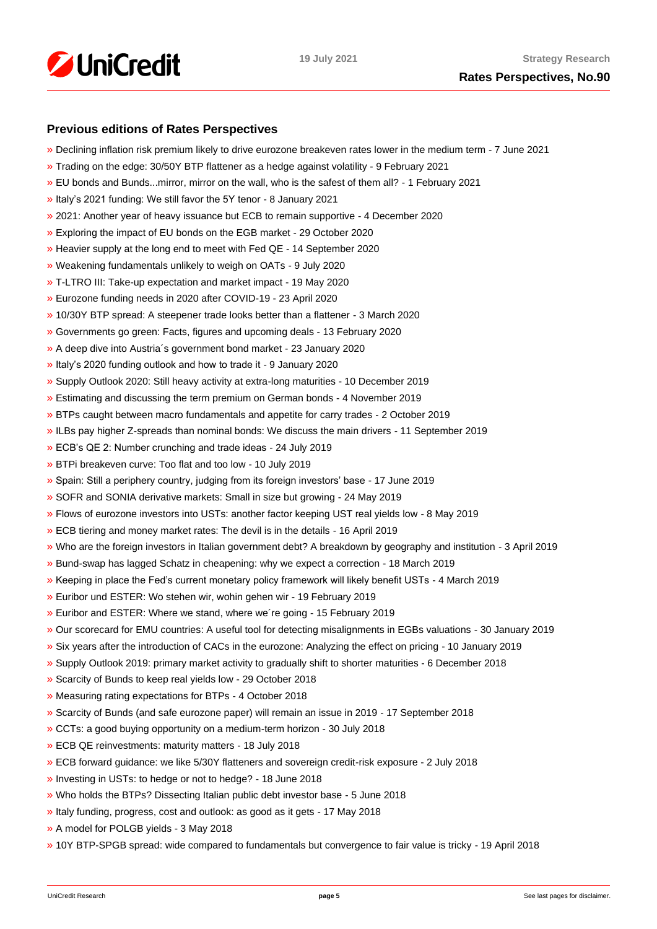

# **Previous editions of Rates Perspectives**

- [»](https://www.research.unicredit.eu/DocsKey/fxfistrategy_docs_2021_180333.ashx?EXT=pdf&KEY=KZGTuQCn4lsvclJnUgseVCsY1pNwWYpSfk0SvE3S76oaIky_YUON5g==) Declining inflation risk premium likely to drive eurozone breakeven rates lower in the medium term 7 June 2021
- [»](https://www.research.unicredit.eu/DocsKey/fxfistrategy_docs_2021_179186.ashx?EXT=pdf&KEY=KZGTuQCn4lsvclJnUgseVCsY1pNwWYpSJTSghNhr0dG4SAep3M0SAg==) Trading on the edge: 30/50Y BTP flattener as a hedge against volatility 9 February 2021
- [»](https://www.research.unicredit.eu/DocsKey/fxfistrategy_docs_2021_179093.ashx?EXT=pdf&KEY=KZGTuQCn4lsvclJnUgseVCsY1pNwWYpSseITqiopMUYb21i9hmCfCA==) EU bonds and Bunds...mirror, mirror on the wall, who is the safest of them all? 1 February 2021
- [»](https://www.research.unicredit.eu/DocsKey/fxfistrategy_docs_2021_178879.ashx?EXT=pdf&KEY=KZGTuQCn4lsvclJnUgseVCsY1pNwWYpSxYneOq3LGyt4eyF56Lnjig==) Italy's 2021 funding: We still favor the 5Y tenor 8 January 2021
- [»](https://www.research.unicredit.eu/DocsKey/fxfistrategy_docs_2020_178703.ashx?EXT=pdf&KEY=KZGTuQCn4lsvclJnUgseVFcI2-vTFR2nFvdgpPgOyS7_7gSenXs8vw==) 2021: Another year of heavy issuance but ECB to remain supportive 4 December 2020
- [»](https://www.research.unicredit.eu/DocsKey/fxfistrategy_docs_2020_178319.ashx?EXT=pdf&KEY=KZGTuQCn4lsvclJnUgseVFcI2-vTFR2nRi29dMwdIovM3G3jxYh8vw==) Exploring the impact of EU bonds on the EGB market 29 October 2020
- [»](https://www.research.unicredit.eu/DocsKey/fxfistrategy_docs_2020_177861.ashx?EXT=pdf&KEY=KZGTuQCn4lsvclJnUgseVFcI2-vTFR2nyfW5CoPOGyGcSR2zWP6xCA==) Heavier supply at the long end to meet with Fed QE 14 September 2020
- [»](https://www.research.unicredit.eu/DocsKey/fxfistrategy_docs_2020_177386.ashx?EXT=pdf&KEY=KZGTuQCn4lsvclJnUgseVFcI2-vTFR2nO6XLPK2SkhnVq7fg7fdZMA==) Weakening fundamentals unlikely to weigh on OATs 9 July 2020
- [»](https://www.research.unicredit.eu/DocsKey/fxfistrategy_docs_2020_176890.ashx?EXT=pdf&KEY=KZGTuQCn4lsvclJnUgseVFcI2-vTFR2nW1DHnTvta0o0CL0_mPxnUg==) T-LTRO III: Take-up expectation and market impact 19 May 2020
- [»](https://www.research.unicredit.eu/DocsKey/fxfistrategy_docs_2020_176630.ashx?EXT=pdf&KEY=KZGTuQCn4lsvclJnUgseVFcI2-vTFR2nlVdqzbTp94Q4BdEhR8EC5A==) Eurozone funding needs in 2020 after COVID-19 23 April 2020
- [»](https://www.research.unicredit.eu/DocsKey/fxfistrategy_docs_2020_176143.ashx?EXT=pdf&KEY=KZGTuQCn4lsvclJnUgseVFcI2-vTFR2n46XMXAIB2V6cPOOjdj7_cg==) 10/30Y BTP spread: A steepener trade looks better than a flattener 3 March 2020
- [»](https://www.research.unicredit.eu/DocsKey/fxfistrategy_docs_2020_175954.ashx?EXT=pdf&KEY=KZGTuQCn4lsvclJnUgseVFcI2-vTFR2nPNmoWwinZoBS4spnPS0v9A==) Governments go green: Facts, figures and upcoming deals 13 February 2020
- [»](https://www.research.unicredit.eu/DocsKey/fxfistrategy_docs_2020_175729.ashx?EXT=pdf&KEY=KZGTuQCn4lsvclJnUgseVFcI2-vTFR2nD3IxnL2-DMsUkYgH9VwtEQ==) A deep dive into Austria´s government bond market 23 January 2020
- [»](https://www.research.unicredit.eu/DocsKey/fxfistrategy_docs_2020_175593.ashx?EXT=pdf&KEY=KZGTuQCn4lsvclJnUgseVFcI2-vTFR2nXzQVTsg1IArUTJHz7ClnKQ==) Italy's 2020 funding outlook and how to trade it 9 January 2020
- [»](https://www.research.unicredit.eu/DocsKey/fxfistrategy_docs_2019_175462.ashx?EXT=pdf&KEY=KZGTuQCn4lsvclJnUgseVEGHysWJl2Ns9AlMl_yM9fb41Glf-ynILQ==) Supply Outlook 2020: Still heavy activity at extra-long maturities 10 December 2019
- [»](https://www.research.unicredit.eu/DocsKey/fxfistrategy_docs_2019_175097.ashx?EXT=pdf&KEY=KZGTuQCn4lsvclJnUgseVEGHysWJl2NsalH1w8p3dPurdMMtjayMTw==) Estimating and discussing the term premium on German bonds 4 November 2019
- [»](https://www.research.unicredit.eu/DocsKey/fxfistrategy_docs_2019_174747.ashx?EXT=pdf&KEY=KZGTuQCn4lsvclJnUgseVEGHysWJl2NshFxQRxeXxVYxi2cgVzAqQQ==) BTPs caught between macro fundamentals and appetite for carry trades 2 October 2019
- [»](https://www.research.unicredit.eu/DocsKey/fxfistrategy_docs_2019_174503.ashx?EXT=pdf&KEY=KZGTuQCn4lsvclJnUgseVEGHysWJl2NsCFMwr5HzJ17_YmUeW60-Ag==) ILBs pay higher Z-spreads than nominal bonds: We discuss the main drivers 11 September 2019
- [»](https://www.research.unicredit.eu/DocsKey/fxfistrategy_docs_2019_173046.ashx?EXT=pdf&KEY=KZGTuQCn4lsvclJnUgseVEGHysWJl2NsYmN8grxHaGuMlNiR5FCG-Q==) ECB's QE 2: Number crunching and trade ideas 24 July 2019
- [»](https://www.research.unicredit.eu/DocsKey/fxfistrategy_docs_2019_172874.ashx?EXT=pdf&KEY=KZGTuQCn4lsvclJnUgseVEGHysWJl2NsU6w4VN1R8ufrSpaKVsG8hw==) BTPi breakeven curve: Too flat and too low 10 July 2019
- [»](https://www.research.unicredit.eu/DocsKey/fxfistrategy_docs_2019_172612.ashx?EXT=pdf&KEY=KZGTuQCn4lsvclJnUgseVEGHysWJl2Ns2prJ4cLGo5kZAYkhTSIwiQ==) Spain: Still a periphery country, judging from its foreign investors' base 17 June 2019
- [»](https://www.research.unicredit.eu/DocsKey/fxfistrategy_docs_2019_172362.ashx?EXT=pdf&KEY=KZGTuQCn4lsvclJnUgseVEGHysWJl2NsmV7mtWY1YutdeERi5OnkvA==) SOFR and SONIA derivative markets: Small in size but growing 24 May 2019
- [»](https://www.research.unicredit.eu/DocsKey/fxfistrategy_docs_2019_171193.ashx?EXT=pdf&KEY=KZGTuQCn4lsvclJnUgseVEGHysWJl2NsQ363zHJuO-4ubO81Q09WWw==) Flows of eurozone investors into USTs: another factor keeping UST real yields low 8 May 2019
- [»](https://www.research.unicredit.eu/DocsKey/fxfistrategy_docs_2019_170974.ashx?EXT=pdf&KEY=KZGTuQCn4lsvclJnUgseVEGHysWJl2NsRTomOaKjVl9lFV8OK8lXLA==) ECB tiering and money market rates: The devil is in the details 16 April 2019
- [»](https://www.research.unicredit.eu/DocsKey/fxfistrategy_docs_2019_170284.ashx?EXT=pdf&KEY=KZGTuQCn4lsvclJnUgseVEGHysWJl2NsEwG0xblWxFK9BVQAB4eryA==) Who are the foreign investors in Italian government debt? A breakdown by geography and institution 3 April 2019
- [»](https://www.research.unicredit.eu/DocsKey/fxfistrategy_docs_2019_170066.ashx?EXT=pdf&KEY=KZGTuQCn4lsvclJnUgseVEGHysWJl2NsNOWCS-vPqTdpZhijXIyJ5Q==) Bund-swap has lagged Schatz in cheapening: why we expect a correction 18 March 2019
- [»](https://www.research.unicredit.eu/DocsKey/fxfistrategy_docs_2019_169883.ashx?EXT=pdf&KEY=KZGTuQCn4lsvclJnUgseVEGHysWJl2Nsz9dXRsXwpAsZUUpCjW9eRw==) Keeping in place the Fed's current monetary policy framework will likely benefit USTs 4 March 2019
- [»](https://www.research.unicredit.eu/DocsKey/fxfistrategy_docs_2019_169737.ashx?EXT=pdf&KEY=KZGTuQCn4lsvclJnUgseVEGHysWJl2NsVk__5HHS-wtgogqSIYe_pg==) Euribor und ESTER: Wo stehen wir, wohin gehen wir 19 February 2019
- [»](https://www.research.unicredit.eu/DocsKey/fxfistrategy_docs_2019_169681.ashx?EXT=pdf&KEY=KZGTuQCn4lsvclJnUgseVEGHysWJl2NsvFsIe2gTc3YHhaYXz8CyMQ==) Euribor and ESTER: Where we stand, where we´re going 15 February 2019
- [»](https://www.research.unicredit.eu/DocsKey/fxfistrategy_docs_2019_168976.ashx?EXT=pdf&KEY=KZGTuQCn4lsvclJnUgseVEGHysWJl2NsBRIhGRL9OpCAofKNpRdbqw==) Our scorecard for EMU countries: A useful tool for detecting misalignments in EGBs valuations 30 January 2019
- [»](https://www.research.unicredit.eu/DocsKey/fxfistrategy_docs_2019_168690.ashx?EXT=pdf&KEY=KZGTuQCn4lsvclJnUgseVEGHysWJl2Ns6zwNCeXNSn5_WEAdcnzkSw==) Six years after the introduction of CACs in the eurozone: Analyzing the effect on pricing 10 January 2019
- [»](https://www.research.unicredit.eu/DocsKey/fxfistrategy_docs_2018_168081.ashx?EXT=pdf&KEY=KZGTuQCn4lsvclJnUgseVGkpNcRXR5-WdODblZpTi0A4RE9IYOSOOA==&T=1) Supply Outlook 2019: primary market activity to gradually shift to shorter maturities 6 December 2018
- [»](https://www.research.unicredit.eu/DocsKey/fxfistrategy_docs_2018_167651.ashx?EXT=pdf&KEY=KZGTuQCn4lsvclJnUgseVGkpNcRXR5-WLbIUypeIHxyD3rdrNgjwjg==&T=1) Scarcity of Bunds to keep real yields low 29 October 2018
- [»](https://www.research.unicredit.eu/DocsKey/fxfistrategy_docs_2018_167362.ashx?EXT=pdf&KEY=KZGTuQCn4lsvclJnUgseVGkpNcRXR5-W7gOokc4_UKGkd-Hy3Wx_vg==&T=1) Measuring rating expectations for BTPs 4 October 2018
- [»](https://www.research.unicredit.eu/DocsKey/fxfistrategy_docs_2018_167162.ashx?EXT=pdf&KEY=KZGTuQCn4lsvclJnUgseVGkpNcRXR5-WLonU6aW-riDJHVt4RBRKJQ==&T=1) Scarcity of Bunds (and safe eurozone paper) will remain an issue in 2019 17 September 2018
- [»](https://www.research.unicredit.eu/DocsKey/fxfistrategy_docs_2018_166735.ashx?EXT=pdf&KEY=KZGTuQCn4lsvclJnUgseVGkpNcRXR5-WJcyLXLDNCHrk_1IGoA85eQ==&T=1) CCTs: a good buying opportunity on a medium-term horizon 30 July 2018
- [»](https://www.research.unicredit.eu/DocsKey/fxfistrategy_docs_2018_165506.ashx?EXT=pdf&KEY=KZGTuQCn4lsvclJnUgseVGkpNcRXR5-WelAdBLCjwv2CsrEf1G_7vA==&T=1) ECB QE reinvestments: maturity matters 18 July 2018
- [»](https://www.research.unicredit.eu/DocsKey/fxfistrategy_docs_2018_165296.ashx?EXT=pdf&KEY=KZGTuQCn4lsvclJnUgseVGkpNcRXR5-Wl83fmK6epfPJRPrdFbpp8A==&T=1) ECB forward guidance: we like 5/30Y flatteners and sovereign credit-risk exposure 2 July 2018
- [»](https://www.research.unicredit.eu/DocsKey/fxfistrategy_docs_2018_165113.ashx?EXT=pdf&KEY=KZGTuQCn4lsvclJnUgseVGkpNcRXR5-WdMw8JSHF2Ih6d0UhMlk5iA==&T=1) Investing in USTs: to hedge or not to hedge? 18 June 2018
- [»](https://www.research.unicredit.eu/DocsKey/fxfistrategy_docs_2018_164967.ashx?EXT=pdf&KEY=KZGTuQCn4lsvclJnUgseVGkpNcRXR5-WLoNFhsvJBXHbE69WfFEurg==&T=1) Who holds the BTPs? Dissecting Italian public debt investor base 5 June 2018
- [»](https://www.research.unicredit.eu/DocsKey/fxfistrategy_docs_2018_164775.ashx?EXT=pdf&KEY=KZGTuQCn4lsvclJnUgseVGkpNcRXR5-WZF21zKfJuZ_5iLWWjJ2GpQ==&T=1) Italy funding, progress, cost and outlook: as good as it gets 17 May 2018
- [»](https://www.research.unicredit.eu/DocsKey/fxfistrategy_docs_2018_164589.ashx?EXT=pdf&KEY=KZGTuQCn4lsvclJnUgseVGkpNcRXR5-WHckxsj1laTH6N7QU0C6uzQ==&T=1) A model for POLGB yields 3 May 2018
- [»](https://www.research.unicredit.eu/DocsKey/fxfistrategy_docs_2018_164411.ashx?EXT=pdf&KEY=KZGTuQCn4lsvclJnUgseVGkpNcRXR5-W4Dmv9B6O0atd94s-0yUFlA==&T=1) 10Y BTP-SPGB spread: wide compared to fundamentals but convergence to fair value is tricky 19 April 2018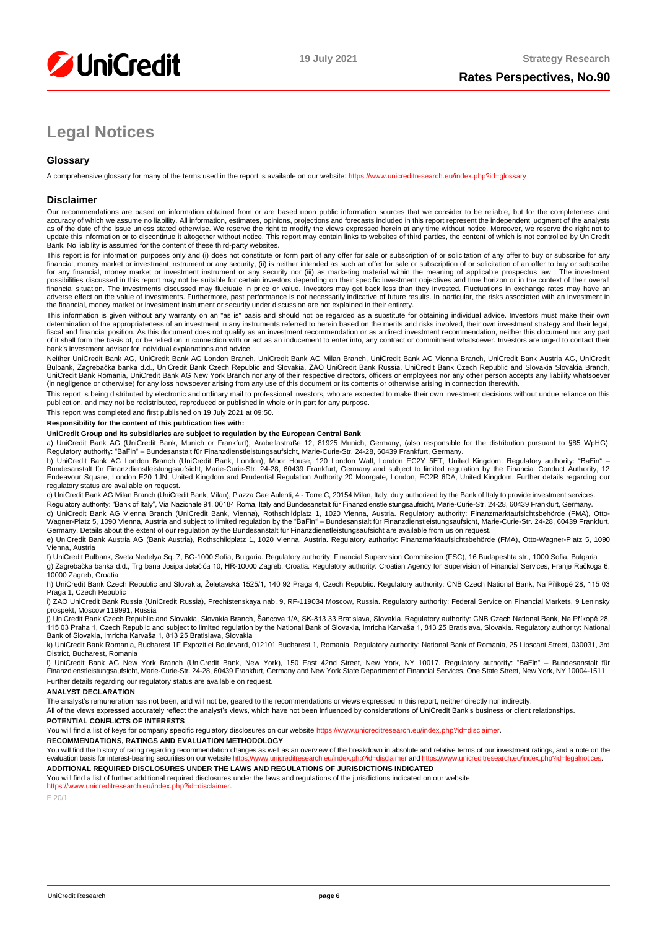

# **Legal Notices**

## **Glossary**

A comprehensive glossary for many of the terms used in the report is available on our website[: https://www.unicreditresearch.eu/index.php?id=glossary](https://www.unicreditresearch.eu/index.php?id=glossary)

### **Disclaimer**

Our recommendations are based on information obtained from or are based upon public information sources that we consider to be reliable, but for the completeness and accuracy of which we assume no liability. All information, estimates, opinions, projections and forecasts included in this report represent the independent judgment of the analysts<br>as of the date of the issue unless stated update this information or to discontinue it altogether without notice. This report may contain links to websites of third parties, the content of which is not controlled by UniCredit Bank. No liability is assumed for the content of these third-party websites.

This report is for information purposes only and (i) does not constitute or form part of any offer for sale or subscription of or solicitation of any offer to buy or subscribe for any<br>financial, money market or investment for any financial, money market or investment instrument or any security nor (iii) as marketing material within the meaning of applicable prospectus law . The investment possibilities discussed in this report may not be suitable for certain investors depending on their specific investment objectives and time horizon or in the context of their overall<br>financial situation. The investments di adverse effect on the value of investments. Furthermore, past performance is not necessarily indicative of future results. In particular, the risks associated with an investment in the financial, money market or investment instrument or security under discussion are not explained in their entirety.

This information is given without any warranty on an "as is" basis and should not be regarded as a substitute for obtaining individual advice. Investors must make their own determination of the appropriateness of an investment in any instruments referred to herein based on the merits and risks involved, their own investment strategy and their legal,<br>fiscal and financial position. As this docu bank's investment advisor for individual explanations and advice.

Neither UniCredit Bank AG, UniCredit Bank AG London Branch, UniCredit Bank AG Milan Branch, UniCredit Bank AG Vienna Branch, UniCredit Bank Austria AG, UniCredit Bulbank, Zagrebačka banka d.d., UniCredit Bank Czech Republic and Slovakia, ZAO UniCredit Bank Russia, UniCredit Bank Czech Republic and Slovakia Slovakia Branch,<br>UniCredit Bank Romania, UniCredit Bank AG New York Branch n (in negligence or otherwise) for any loss howsoever arising from any use of this document or its contents or otherwise arising in connection therewith.

This report is being distributed by electronic and ordinary mail to professional investors, who are expected to make their own investment decisions without undue reliance on this<br>publication, and may not be redistributed,

This report was completed and first published on 19 July 2021 at 09:50.

### **Responsibility for the content of this publication lies with:**

### **UniCredit Group and its subsidiaries are subject to regulation by the European Central Bank**

a) UniCredit Bank AG (UniCredit Bank, Munich or Frankfurt), Arabellastraße 12, 81925 Munich, Germany, (also responsible for the distribution pursuant to §85 WpHG). Regulatory authority: "BaFin" – Bundesanstalt für Finanzdienstleistungsaufsicht, Marie-Curie-Str. 24-28, 60439 Frankfurt, Germany.

b) UniCredit Bank AG London Branch (UniCredit Bank, London), Moor House, 120 London Wall, London EC2Y 5ET, United Kingdom. Regulatory authority: "BaFin" –<br>Bundesanstalt für Finanzdienstleistungsaufsicht, Marie-Curie-Str. 2 regulatory status are available on request.

c) UniCredit Bank AG Milan Branch (UniCredit Bank, Milan), Piazza Gae Aulenti, 4 - Torre C, 20154 Milan, Italy, duly authorized by the Bank of Italy to provide investment services.

Regulatory authority: "Bank of Italy", Via Nazionale 91, 00184 Roma, Italy and Bundesanstalt für Finanzdienstleistungsaufsicht, Marie-Curie-Str. 24-28, 60439 Frankfurt, Germany.

d) UniCredit Bank AG Vienna Branch (UniCredit Bank, Vienna), Rothschildplatz 1, 1020 Vienna, Austria. Regulatory authority: Finanzmarktaufsichtsbehörde (FMA), Otto-Wagner-Platz 5, 1090 Vienna, Austria and subject to limited regulation by the "BaFin" – Bundesanstalt für Finanzdienstleistungsaufsicht, Marie-Curie-Str. 24-28, 60439 Frankfurt,<br>Germany. Details about the extent of our reg

e) UniCredit Bank Austria AG (Bank Austria), Rothschildplatz 1, 1020 Vienna, Austria. Regulatory authority: Finanzmarktaufsichtsbehörde (FMA), Otto-Wagner-Platz 5, 1090 Vienna, Austria

f) UniCredit Bulbank, Sveta Nedelya Sq. 7, BG-1000 Sofia, Bulgaria. Regulatory authority: Financial Supervision Commission (FSC), 16 Budapeshta str., 1000 Sofia, Bulgaria g) Zagrebačka banka d.d., Trg bana Josipa Jelačića 10, HR-10000 Zagreb, Croatia. Regulatory authority: Croatian Agency for Supervision of Financial Services, Franje Račkoga 6, 10000 Zagreb, Croatia

h) UniCredit Bank Czech Republic and Slovakia, Želetavská 1525/1, 140 92 Praga 4, Czech Republic. Regulatory authority: CNB Czech National Bank, Na Příkopě 28, 115 03 Praga 1, Czech Republic

i) ZAO UniCredit Bank Russia (UniCredit Russia), Prechistenskaya nab. 9, RF-119034 Moscow, Russia. Regulatory authority: Federal Service on Financial Markets, 9 Leninsky prospekt, Moscow 119991, Russia

j) UniCredit Bank Czech Republic and Slovakia, Slovakia Branch, Šancova 1/A, SK-813 33 Bratislava, Slovakia. Regulatory authority: CNB Czech National Bank, Na Příkopě 28, 115 03 Praha 1, Czech Republic and subject to limited regulation by the National Bank of Slovakia, Imricha Karvaša 1, 813 25 Bratislava, Slovakia. Regulatory authority: National<br>Bank of Slovakia, Imricha Karvaša 1, 813 25

k) UniCredit Bank Romania, Bucharest 1F Expozitiei Boulevard, 012101 Bucharest 1, Romania. Regulatory authority: National Bank of Romania, 25 Lipscani Street, 030031, 3rd District, Bucharest, Romania

l) UniCredit Bank AG New York Branch (UniCredit Bank, New York), 150 East 42nd Street, New York, NY 10017. Regulatory authority: "BaFin" – Bundesanstalt für Finanzdienstleistungsaufsicht, Marie-Curie-Str. 24-28, 60439 Frankfurt, Germany and New York State Department of Financial Services, One State Street, New York, NY 10004-1511 Further details regarding our regulatory status are available on request.

#### **ANALYST DECLARATION**

The analyst's remuneration has not been, and will not be, geared to the recommendations or views expressed in this report, neither directly nor indirectly.

All of the views expressed accurately reflect the analyst's views, which have not been influenced by considerations of UniCredit Bank's business or client relationships.

### **POTENTIAL CONFLICTS OF INTERESTS**

You will find a list of keys for company specific regulatory disclosures on our websit[e https://www.unicreditresearch.eu/index.php?id=disclaimer.](https://www.unicreditresearch.eu/index.php?id=disclaimer)

**RECOMMENDATIONS, RATINGS AND EVALUATION METHODOLOGY** 

You will find the history of rating regarding recommendation changes as well as an overview of the breakdown in absolute and relative terms of our investment ratings, and a note on the evaluation basis for interest-bearing evaluation basis for interest-bearing securities on our website https://www.unicreditre

**ADDITIONAL REQUIRED DISCLOSURES UNDER THE LAWS AND REGULATIONS OF JURISDICTIONS INDICATED**

You will find a list of further additional required disclosures under the laws and regulations of the jurisdictions indicated on our website [https://www.unicreditresearch.eu/index.php?id=disclaimer.](https://www.unicreditresearch.eu/index.php?id=disclaimer) 

E 20/1